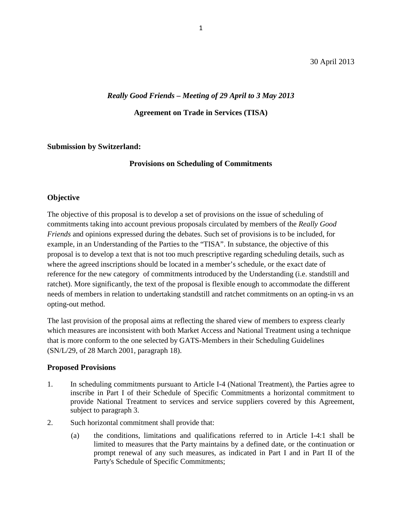# *Really Good Friends – Meeting of 29 April to 3 May 2013*

### **Agreement on Trade in Services (TISA)**

#### **Submission by Switzerland:**

## **Provisions on Scheduling of Commitments**

## **Objective**

The objective of this proposal is to develop a set of provisions on the issue of scheduling of commitments taking into account previous proposals circulated by members of the *Really Good Friends* and opinions expressed during the debates. Such set of provisions is to be included, for example, in an Understanding of the Parties to the "TISA". In substance, the objective of this proposal is to develop a text that is not too much prescriptive regarding scheduling details, such as where the agreed inscriptions should be located in a member's schedule, or the exact date of reference for the new category of commitments introduced by the Understanding (i.e. standstill and ratchet). More significantly, the text of the proposal is flexible enough to accommodate the different needs of members in relation to undertaking standstill and ratchet commitments on an opting-in vs an opting-out method.

The last provision of the proposal aims at reflecting the shared view of members to express clearly which measures are inconsistent with both Market Access and National Treatment using a technique that is more conform to the one selected by GATS-Members in their Scheduling Guidelines (SN/L/29, of 28 March 2001, paragraph 18).

#### **Proposed Provisions**

- 1. In scheduling commitments pursuant to Article I-4 (National Treatment), the Parties agree to inscribe in Part I of their Schedule of Specific Commitments a horizontal commitment to provide National Treatment to services and service suppliers covered by this Agreement, subject to paragraph 3.
- 2. Such horizontal commitment shall provide that:
	- (a) the conditions, limitations and qualifications referred to in Article I-4:1 shall be limited to measures that the Party maintains by a defined date, or the continuation or prompt renewal of any such measures, as indicated in Part I and in Part II of the Party's Schedule of Specific Commitments;